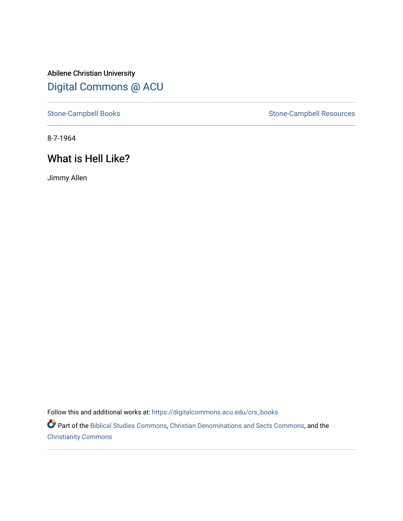Abilene Christian University [Digital Commons @ ACU](https://digitalcommons.acu.edu/)

[Stone-Campbell Books](https://digitalcommons.acu.edu/crs_books) Stone-Campbell Resources

8-7-1964

# What is Hell Like?

Jimmy Allen

Follow this and additional works at: [https://digitalcommons.acu.edu/crs\\_books](https://digitalcommons.acu.edu/crs_books?utm_source=digitalcommons.acu.edu%2Fcrs_books%2F615&utm_medium=PDF&utm_campaign=PDFCoverPages) 

Part of the [Biblical Studies Commons,](https://network.bepress.com/hgg/discipline/539?utm_source=digitalcommons.acu.edu%2Fcrs_books%2F615&utm_medium=PDF&utm_campaign=PDFCoverPages) [Christian Denominations and Sects Commons,](https://network.bepress.com/hgg/discipline/1184?utm_source=digitalcommons.acu.edu%2Fcrs_books%2F615&utm_medium=PDF&utm_campaign=PDFCoverPages) and the [Christianity Commons](https://network.bepress.com/hgg/discipline/1181?utm_source=digitalcommons.acu.edu%2Fcrs_books%2F615&utm_medium=PDF&utm_campaign=PDFCoverPages)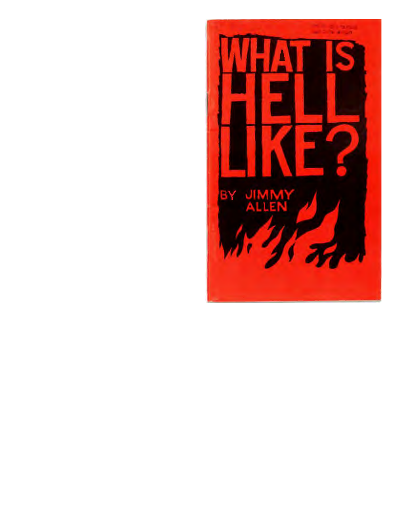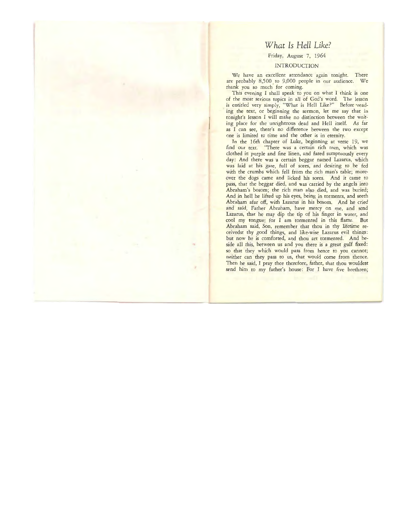# *What Is Hell Like?*

Friday, August 7, 1964

# INTRODUCTION

We have an excellent attendance again tonight. There are probably 8,500 to 9,000 people in our audience. We thank you so much for coming.

This evening I shall speak to you on what I think is one of the most serious topics in all of God's word. The lesson is entitled very simply, "What is Hell Like?" Before 'reading the text, or beginning the sermon, let me say that in tonight's lesson I will make no distinction between the waiting place for che unrighteous dead and Hell itself. As far as I can see, there's no difference between the two except one is limited to time and the other is in eternity.

In the 16th chapter of Luke, beginning at verse 19, we find our text. "There was a certain rich man, which was clothed in purple and fine linen, and fared sumptuously every day: And there was a certain beggar named Lazarus, which was laid at his gate, full of sores, and desiring to be fed with the crumbs which fell from the rich man's table; moreover the dogs came and licked his sores. And it came to pass, that the beggar died, and was carried by the angels into Abraham's bosom; the rich man also died, and was buried; And in hell he lifted up his eyes, being in torments, and seeth Abraham afar off, with Lazarus in his bosom. And he cried and said, Father Abraham, have mercy on me, and send Lazarus, that he may dip the tip of his finger in water, and cool my tongue; for I am tormented in this flame. But Abraham said, Son, remember that thou in thy lifetime receivedst thy good things, and like-wise Lazarus evil things: but now he is comforted, and thou art tormented. And beside all this, between us and you there is a great gulf fixed: so that they which would pass from hence to you cannot; neither can they pass to us, that would come from thence. Then he said, I pray thee therefore, father, that thou wouldest send him to my father's house: For I have five brethren;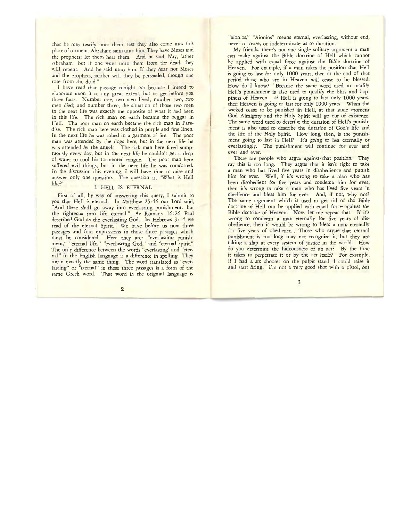that he may testify unto them, lest they also come into this place of torment. Abraham saith unto him, They have Moses and the prophets; let them hear them. And he said, Nay, father Abraham: but if one went unto them from the dead, they *v*:ill repent. And he said unto him, If they hear not Moses and the prophets, neither will they be persuaded, though one rose from the dead."

I have read that passage tonight not because I intend to elaborate upon it ro any great extent, but to get before you three facts. Number one, two men lived; number two, two men died; and number three, the situation of those two men in the next life was exactly the opposite of what it had been in this life. The rich man on earth became the beggar in Hell. The poor man on earth became the rich man in Paradise. The rich man here was clothed in purple and fine linen. In the next life he was robed in a garment of fire. The poor man was attended by the dogs here, bur in the next life he was attended by the angels. The rich man here fared sumptuously every day, but in the next life he couldn't get a drop of water to cool his tormented tongue. The poor man here suffered evil things, but in the next life he was comforted. In the discussion this evening, I will have time to raise and answer only one question. The question is, "What is Hell like?"

# I. HELL IS ETERNAL

First of all, by way of answering this query, I submit to you that Hell is eternal. In Matthew 25:46 our Lord said, "And these shall go away into everlasting punishment: but the righteous into life eternal." At Romans 16:26 Paul described God as the everlasting God. In Hebrews 9: 14 we read of the eternal Spirit. We have before us now three passages and four expressions in those three passages which must be considered. Here they are: "everlasting punishment," "eternal life," "everlasting God," and "eternal spirit." The only difference between the words "everlasting' and "eternal" in the English language is a difference in spelling. They mean exactly the same thing. The word translated as "everlasting" or "eternal" in these three passages is a form of the same Greek word. That word in the original language is "aionios," "Aionios" means eternal, everlasting, without end, never to cease, or indeterminate as to duration.

My friends, there's not one single solitary argument a man can make against the Bible doctrine of Hell which cannot be applied with equal force against the Bible doctrine of Heaven. For example, if a man takes the position that Hell is going to last for only 1000 years, then at the end of that period those who are in Heaven will cease to be blessed. How do I know? "Because the same word used to modify Hell's punishment is also used to qualify the bliss and happiness of Heaven. If Hell is going to last only 1000 years, then Heaven is going to last for only 1000 years. When the wicked cease to be punished in Hell, at that same moment God Almighty and the Holy Spirit will go out of existence. The same word used to describe the duration of Hell's punishment is also used to describe the duration of God's life and the life of the Holy Spirit. How long, then, is the punishment going to last in Hell? It's going to last eternally or everlastingly. The punishment will continue for ever and ever and ever.

There are people who argue against that position. They say this is too long. They argue that it isn't right to take a man who has lived five years in disobedience and punish him for ever. Well, if it's wrong to take a man who has been disobedient for five years and condemn him for ever, then it's wrong to take a man who has lived five years in obedience and bless him for ever. And, if not, why not? The same argument which is used to get rid of the Bible doctrine of Hell can be applied with equal force against the Bible doctrine of Heaven. Now, let me repeat that. If it's wrong to condemn a man eternally for five years of disobedience, then it would be wrong to bless a man eternally for five years of obedience. Those who argue that eternal punishment is too long may not recognize it, but they are taking a slap at every system of justice in the world. How do you determine the hideousness of an act? By the time it takes to perpetrate it or by the act itself? For example, if I had a six shooter on the pulpit stand, I could raise it and start firing. I'm not a very good shot with a pistol, but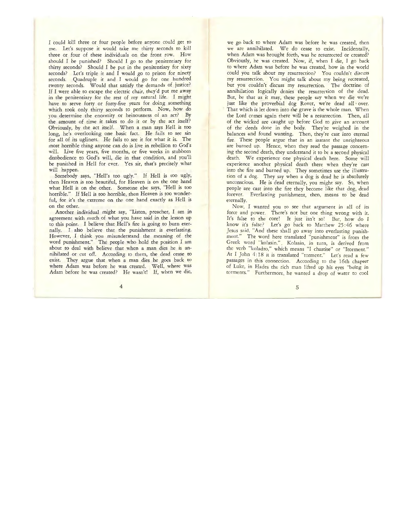I could kill three or four people before anyone could get to me. let's suppose it would take me thirty seconds to kill three or four of these individuals on the front row. How should I be punished? Should I go to the penitentiary for thirty seconds? Should I be put in the penitentiary for sixty seconds? Let's triple it and I would go to prison for ninety seconds. Quadruple it and I would go for one hundred rwenty seconds. Would that satisfy the demands of justice? If I were able to escape the electric chair, they'd put me away in the penitentiary for the rest of my natural life. I might have to serve forty or forty-five years for doing something which took only thirty seconds to perform. Now, how do you determine the enormity or heinousness of an act? By the amount of time it takes to do it or by the act itself? Obviously, by the act itself. When a man says Hell is too long, he's overlooking one basic fact. He fails to see sin for all of its ugliness. He fails to see it for what it is. The most horrible thing anyone can do is live in rebellion to God's will. Live five years, five months, or five weeks in stubborn disobedience to God's will, die in that condition, and you'll be punished in Hell for ever. Yes sir, that's precisely what will happen.

Somebody says, "Hell's too ugly." If Hell is too ugly, then Heaven is too beautiful, for Heaven is on the one hand what Hell is on the other. Someone else says, "Hell is too horrible." If Hell is too horrible, then Heaven is too wonderful, for it's the extreme on the one hand exactly as Hell is on the other.

 Another individual might say, "Listen, preacher, I am in agreement with much of what you have said in the lesson up to this point. I believe that Hell's fire is going to burn eternally. I also believe that the punishment is everlasting. However, I think you misunderstand the meaning of the word punishment." The people who hold the position I am about to deal with believe that when a man dies he is annihilated or cut off. According to them, the dead cease to exist. They argue that when a man dies he goes back to where Adam was before he was created. Well, where was Adam before he was created? He wasn't! If, when we die,

we go back to where Adam was before he was created, then we are annihilated. We do cease to exist. Incidentally, when Adam was brought forth, was he resurrected or created? Obviously, he was created. Now, if, when I die, I go back to where Adam was before he was created, how in the world could you talk about my resurrection? You couldn't discuss my resurrection. You might talk about my being recreated, but you couldn't discuss my resurrection. The doctrine. of annihilation logically denies the resurrection of the dead. But, be that as it may, these people say when we die we're just like the proverbial dog Rover, we're dead all over. That which is let down into the grave is the whole man. When the Lord comes again there will be a resurrection. Then, all of the wicked are caught up before God to give an account of the deeds done in the body. They're weighed in the balances and found wanting. Then, they're cast into eternal fire. These people argue that in an instant the unrighteous are burned up. Hence, when they read the passage concerning the second death, they understand it to be a second physical death. We experience one physical death here. Some will experience another physical death there when they're cast into the fire and burned up. They sometimes use the illustration of a dog. They say when a dog is dead he is absolutely unconscious. He is dead eternally, you might say. So, when people are cast into the fire they become like that dog, dead forever. Everlasting punishment, then, means to be dead eternally.

Now, I wanted you to see that argument in all of its force and power. There's not but one thing wrong with it. It's false to the core! It just isn't so! But, how do I know it's false? Let's go back to Matthew 25:46 where Jesus said, "And these shall go away into everlasting punishment." The word here translated "punishment" is from the Greek word "kolasin.". Kolasin, in turn, is derived from the verb "koladzo," which means "I chastise" or "Itorment." At I John 4:18 it is translated "torment." Let's read a few passages in this connection. According to the 16th chapter of Luke, in Hades the rich man lifted up his eyes "being in torments." Furthermore, he wanted a drop of water to cool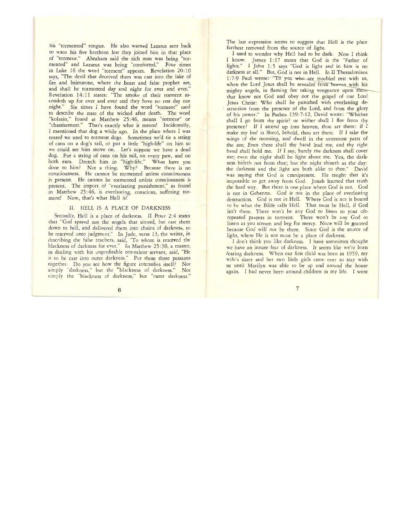his "tormented" tongue. He also wanted Lazarus sent back to warn his five brethren lest they joined him in that place of "torment." Abraham said the rich man was being "tormented" and Lazarus was being "comforted." Four times in Luke 16 the word "torment" appears. Revelation 20: 10 says, "The devil that deceived them was cast into the lake of fire and brimstone, where the beast and false prophet are, and shall be tormented day and night for ever and ever." Revelation 14: 11 states: "The smoke of their torment ascendeth up for ever and ever and they have no rest day nor night." Six times I have found the word "torment" used to describe the state of the wicked after death. The word "kolasin," found at Matthew 25:46, means "torment" or "chastisement." That's exactly what it means! Incidentally, I mentioned that dog a while ago. In the place where I was reared we used to torment dogs. Sometimes we'd tie a string of cans on a dog's tail, or put a little "high-life" on him so we could see him move on. Let's suppose we have a dead dog. Put a string of cans on his tail, on every paw, and on both ears. Drench him in "high-life." What have you done to him? Not a thing. Why? Because there is no consciousness. He cannot be tormented unless consciousness is present. He cannot be tormented unless consciousness is present. The import of "everlasting punishment," as found in Matthew 25 :46, is everlasting, conscious, suffering torment! Now, that's what Hell is!

#### II. HELL IS A PLACE OF DARKNESS

Secondly, Hell is a place of darkness. II Peter 2:4 states that "God spared not the angels that sinned, but cast them down to hell, and delivered them into chains of darkness, to be reserved unto judgment." In Jude, verse 13, the writer, in describing the false teachers, said, "To whom is reserved the blackness of darkness for ever." In Matthew 25:30, a master, in dealing with his unprofitable one-talent· servant, said, "He is to be cast into outer darkness." Put those three passages together. Do you see how the figure intensifies itself? Not simply "darkness," but the "blackness of darkness." Not simply the "blackness of darkness," bur "outer darkness."

The last expression seems to suggest that Hell is the place farthest removed from the source of light.

I used to wonder why Hell had to be dark. Now I think I know. James 1: 17 states that God is the "Father of lights." I John 1:5 says "God is light and in him is no darkness at all." But, God is not in Hell. In II Thessalonians 1:7-9 Paul wrote: "To you who are troubled rest with us, when the Lord Jesus shall be revealed from heaven with his mighty angels, in flaming fire taking vengeance upon themthat know nor God and obey not the gospel of our lord Jesus Christ: Who shall be punished with everlasting destruction from the presence of the Lord, and from the glory of his power." In Psalms 139:7-12, David wrote: "Whither shall I go from thy spirit? or wither shall I flee from thy presence? If I ascend up into heaven, thou art there: if I make my bed in Sheol, behold, thou art there. If I take the wings of the morning, and dwell in the uttermost parts of the sea; Even there shall thy hand lead me, and thy right hand shall hold me. If I say, Surely the darkness shall cover me; even the night shall be light about me. Yea, the darkness hideth not from thee; but the night shineth as the day: the darkness and the light are both alike to thee." David was saying that God is omnipresent. He taught that it's impossible to get away from God. Jonah learned that truth the hard way. But there is one place where God is not. God is not in Gehenna. God is not in the place of everlasting destruction. Gcd is not in Hell. Where God is not is bound to be what the Bible calls Hell. That muse be Hell, if God isn't there. There won't be any God to listen to your oftrepeated prayers in torment. There won't be any God to listen as you scream and beg for mercy. None will be granted because God will nor be there. Since God is the source of light, where He is nor must be a place of darkness.

I don't think you like darkness. I have sometimes thought we have an innate fear of darkness. Ir seems like we're born fearing darkness. When our first child was born in 1959, my wife's sister and her two little girls came over to stay with us until Marilyn was able to be up and around the house again. I had never been around children in my life. I went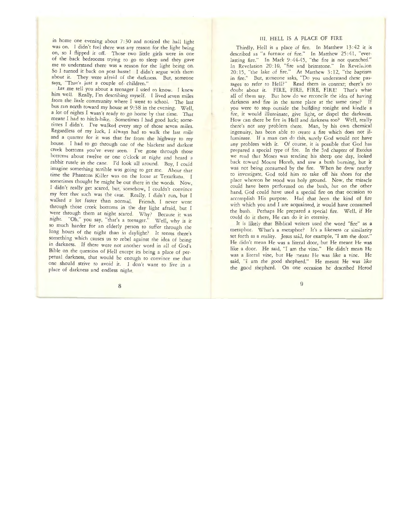in home one evening about  $7:30$  and noticed the hall light was on. I didn't feel there was any reason for the light being on, so I flipped it off. Those two little girls were in one of the back bedrooms trying to go to sleep and they gave me to understand there was a reason for the light being on. So I turned it back on post haste! *I* didn't argue with them about it. They were afraid of the darkness. But, someone says, "That's just a couple of children."

Let me tell you about a teenager I used to know. I knew him well. Really, I'm describing myself. I lived seven miles from the little community where I went to school. The last bus ran north toward my house at 9:38 in the evening. Well, a lot of nights I wasn't ready to go home by that time. That meant I had to hitch-hike. Sometimes I had good luck; sometimes I didn't. I've walked every step of those seven miles. Regardless of my luck, I always had to walk the last mile and a quarter for it was that far from the highway to my house. I had to go through one of the blackest and darkest creek bottoms you've ever seen. I've gone through those bottcms about twelve or one o'clock at night and heard a rabbit rustle in the cane. I'd look all around. Boy, I could imagine something terrible was going to get me. About that time the Phantom Killer was on the loose at Texarkana. I sometimes thought he might be out there in the woods. Now. I didn't really get scared, bur, somehow. I couldn't convince my feet that such was the case. Really. *I* didn't run, bur I walked a lot faster than normal. Friends. I never went through those creek bottoms in the day light afraid, but I went through them at night scared. Why? Because it was night. "Oh," you say, "that's a teenager." Well, why is it so much harder for an elderly person to suffer through the long hours of the night than in daylight? It seems there's something which causes us to rebel against the idea of being m darkness. If there were nor another word in all of God's Bible on the question of Hell except its being a place of perpetual darkness, that would be enough to convince me that one should strive to avoid it. I don't want to live in a place of darkness and endless night.

# *III.* HELL IS *A* PLACE OF FIRE

Thirdly, Hell is a place of fire. In Matthew 13:42 it is described as "a furnace of fire." In Matthew 25:41, "everlasting fire." In Mark 9:44-45, "the fire is not quenched." In Revelation 20:10, "fire and brimstone." In Revelation 20: 15, "the Jake of fire." At Matthew 3: 12, "the baptism in fire." But, someone asks, "Do you understand these passages to refer to Hell?" Read them in context; there's no doubt about it. FIRE, FIRE, FIRE, FIRE! That's what all of them say. But how do we reconcile the idea of having darkness and fire in the same place at the same time? If you were to step outside the building tonight and kindle a fire, it would illuminate, give light, or dispel the darkness. How can there be fire in Hell and darkness too? Well, really there's nor any problem there. Man, by his own chemical ingenuity, has been able to create a fire which does not illuminate. If a man can do this, surely God would not have any problem with it. Of course, it is possible that God has prepared a special type of fire. In the 3rd chapter of Exodus we read that Moses was tending his sheep one day, looked back toward Mount Horeb, and saw a bush burning, but it was not being consumed by the fire. When he drew nearby to investigate, God told him to take off his shoes for the place whereon he stood was holy ground. Now, the miracle could have been performed on the bush, but on the other hand, God could have used a special fire on that occasion to accomplish His purpose. Had that been the kind of fire with which you and I are acquainted, it would have consumed the bush. Perhaps He prepared a special fire. Well, if He could do it there, He can do it in eternity.

It is likely rhat Biblical writers used the word "fire" as a metaphor. What's a metaphor? It's a likeness or similarity set forth as a reality. Jesus said, for example, "I am the door." He didn't mean He was a literal door, bur He meant He was like a door. He said, "I am the vine." He didn't mean He was a literal vine, but He meant He was like a vine. He said, "I am the good shepherd." He meant He was like the good shepherd. On one occasion he described Herod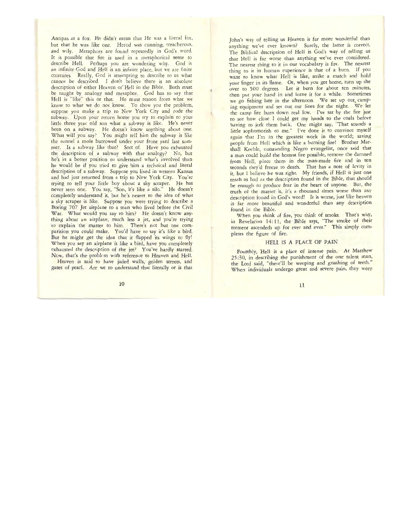Antipas as a fox. He didn't mean that He was a literal fox, bur that he was like one. Herod was cunning, treacherous, and wily. Metaphors are found repeatedly in God's word. It is possible that fire is used in a metaphorical sense to describe Hell. Perhaps you are wondering why. God is an infinite God and Hell is an infinite place, but we are finite creatures. Really, Gcd is attempting to describe to us what cannot be described. I don't believe there is an absolute description of either Heaven or Hell in the Bible. Both must be taught by analogy and metaphor. God has to say that Hell is "like" this or that. He must reason from what we know to what we do nor know. To show you the problem, suppose you make a trip to New York City and rode the subway. Upon your return home you try to explain to your little three year old son what a subway is like. He's never been on a subway. He doesn't know anything about one. What will you say? You might tell him the subway is like the tunnel a mole burrowed under your front yard last summer. Is a subway like that? Sort of. Have you exhausted the description of a subway with that analogy? No, but he's in a better position to understand what's involved than he would be if you tried to give him a technical and literal description of a subway. Suppose you lived in western Kansas and had just returned from a trip to New York City. You're trying to tell your little boy about a sky scraper. He has never seen one. You say, "Son, it's like a silo." He doesn't ccmpletely understand it, but he's nearer to the idea of what a sky scraper is like. Suppose you were trying to describe a Boeing 707 Jet airplane to a man who lived before the Civil War. What would you say to him? He doesn't know anything about an airplane, much less a jet, and you're trying to explain the matter to him. There's not but one comparision you could make. You'd have to say it's like a bird. But he might get the idea that it flapped its wings to fly! When you say an airplane is like a bird, have you completely exhausted the description of the jet? You've hardly started. Now, that's the problem with reference to Heaven and Hell.

Heaven is said to have jaded walls, golden streets, and gates of pearl. Are we to understand that literally or is that John's way of telling us Heaven is far more wonderful than anything we've ever known? Surely, the latter is correct. The Biblical description of Hell is God's way of telling us that Hell is far worse than anything we've ever considered. The nearest thing to it in our vocabulary is fire. The nearest thing to it in human experience is that of a burn. If you want to know what Hell is like, strike a match and hold your finger in its flame. Or, when you get home, turn up the over to 500 degrees. Let it burn for about ten minutes, then put your hand in and leave it for a while. Sometimes we go fishing late in the afternoon. We set up our camping equipment and set out our lines for the night. We let the camp fire burn down real low. I've sat by the fire just to see how close I could get my hands to the coals before having to jerk them back. One might say, "That sounds a little sophomorish to me." I've done it to convince myself again that I'm in the greatest work in the world; saving people from Hell which is like a burning fire! Brother Marshall Keeble, outstanding Negro evangelist, once said that a man could build the hottest fire possible, remove the damned from Hell, place them in the man-made fire and in ten seconds they'd freeze to death. That has a note of levity in it, but I believe he was right. My friends, if Hell is just one tenth as bad as the description found in the Bible, that should be enough to produce fear in the heart of anyone. But, the truth of rhe matter is, it's a thousand times worse than any description found in God's word! It is worse, just like heaven is far more beautiful and wonderful than any description found in the Bible.

When you think of fire, you think of smoke. That's why, in Revelation 14:11, the Bible says, "The smoke of their torment ascendeth up for ever and ever." This simply completes the figure of fire.

#### **HEU** IS A PLACE OF PAIN

Fourthly, Hell is a place of intense pain. At Matthew  $25:30$ , in describing the punishment of the one talent man, the Lord said, "there'll be weeping and gnashing of teeth." When individuals undergo great and severe pain, they weep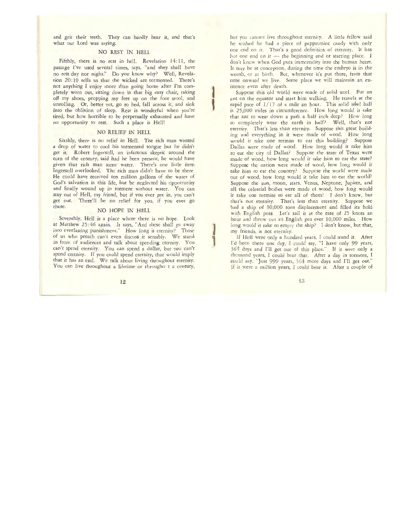and grit their teeth. They can hardly bear it, and that's what our Lord was saying.

# NO REST IN HEll

Fifthly, there is no rest in hell. Revelation 14:11, the passage I've used several times, says, "and they shall have no rest day nor night." Do you know why? Well, Revelation 20: 10 tells us that the wicked are tormented. There's not anything I enjoy more th'an going home after I'm completely worn out, sitting down in that big easy chair, taking off my shoes, propping my feet up on the foot stool, and unrolling. Or, better yet, go to bed, fall across it, and sink into the oblivion of sleep. Rest is wonderful when you're tired, but how horrible to be perpetually exhausted and have no opportunity to rest. Such a place is Hell!

# NO RELIEF IN HEll

Sixthly, there is no relief in Hell. The rich man wanted a drop of water to cool his tormented tongue but he didn't get it. Robert Ingersoll, an infamous skeptic around the turn of the century, said had he been present, he would have given that rich man some water. There's one little item Ingersoll overlooked. The rich man didn't have to be there. He could have received ten million gallons of the water of God's salvation in this life, but he neglected his opportunity and finally wound up in torment without water. You can stay out of Hell, my friend, but if you ever get in, you can't get out. There'll be no relief for you, if you ever go there.

#### NO HOPE IN HEll

Seventhly, Hell is a place where there is no hope. Look at Matthew 25:46 again. It says, "And these shall go away into everlasting punishment." How long is eternity? Those of us who preach can't even discuss it sensibly. We stand in front of audiences and talk about spending eternity. You can't spend eternity. You can spend a dollar, but you can't spend eternity. If you could spend eternity, that would imply rhar it has an end. We talk about living throughout eternity. You can live throughout a lifetime or througho t a century,

but you cannet live throughout eternity. A little fellow said he wished he had a piece of peppermint candy with only one end on it. That's a good definition of eternity. It has but one end on it  $-$  the beginning end or starting place. I don't know when God puts immortality into the human heart. It may be at conception, during the time the embryo is in the womb, er at birth. But, whenever it's put there, from that time onward we live. Some place we will maintain an existence even after death.

Suppose this old world were made of solid steel. Put an ant on the equator and start him walking. He travels at the rapid pace of  $1/17$  of a mile an hour. This solid steel ball is 25,000 miles in circumference. How long would it take that ant to wear down a path a half inch deep? How long to completely wear the earth in half? Well, that's not eternity. That's less than eternity. Suppose this great building and everything in it were made of wood. How long would it take one termite to eat this building? Suppose Dallas were made of wood. How long would it take him to eat the city of Dallas? Suppose the state of Texas were made of wood, how long would it take him to eat the state? Suppose the nation were made of wood, how long would it take him to eat the country? Suppose the world were made out of wood, how long would it take him to eat the world? Suppose the sun, moon, stars, Venus, Neptune, Jupiter, and all the celestial bodies were made of wood, how long would it take one termite to eat all of them? I don't know, but that's not eternity. That's less than eternity. Suppose we had a ship of 30,000 tons displacement and filled its hold with English peas Let's sail it at the rate of 25 knots an hour and throw out an English pea ever 10,000 miles. How long would it take to empty the ship? I don't know, but that, my friends, is not eternity.

If Hell were only a hundred years, I could stand it. After I'd been there one day, I could say, "I have only 99 years, 364 days and I'll get out of this place." If it were only a thousand years, I could bear that. After a day in torment, I could say, "Just 999 years, 364 more days and I'll get out." If it were a million years, I could bear it. After a couple of

**l** ,,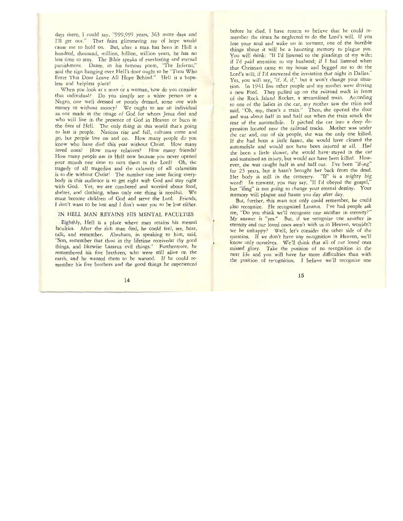days there, I could say, "999,999 years, 363 more days and I'll get out." That faint glimmering ray of hope would cause me t0 hold on. But, after a man has been in Hell a hundred, thousand, million, billion, trillion years, he has no less time to stay. The Bible speaks of everlasting and eternal punishment. Dame, in his famous poem, "The Inferno," said the sign hanging over Hell's door ought to be "Thou Who Enter This Door Leave All Hope Behind." Hell is a hopeless and helpless place!

\'v'hen you look at a man or a woman, how do you consider that individual? Do you simply see a white person or a Negro, one well dressed or poorly dressed, some one with money or without money? We ought to see an individual as one made in the image of God for whom Jesus died and who will live in the presence of God in Heaven or burn in the fires of Hell. The only thing in this world that's going ro last is people. Nations rise and fall, cultures come and go, but people live on and on. How many people do you know who have died this year without Christ. How many loved ones? How many relatives? How many friends? How many people are in Hell now because you never opened your mouth one time to turn them to the Lord? Oh, the tragedy of all tragedies and the calamity of all calamities is to die without Christ! The number one issue facing everybody in this audience is to get right with God and stay right with God. Yer, we are cumbered and worried about food, shelter, and clothing, when only one thing is needful. We must become children of God and serve the Lord. Friends, I don't want to be lost and I don't want you to be lost either.

## IN HELL MAN RETAINS HIS MENTAL FACULTIES

Eighthly, Hell is a place where man retains his mental faculties. After the rich man died, he could feel, see, hear, talk, and remember. Abraham, in speaking to him, said, "Son, remember that thou in thy lifetime receivedsr thy good things, and likewise Lazarus evil things." Furthermore, he remembered his five brethren, who were still alive on the earth and he wanted them to be warned. If he could remember his five brothers and rhe good things he experienced

before he died, I have reascn to believe that he could remember the times he neglected to do rhe Lord's will. If you lose your soul and wake up in torment, one of the horrible things about it will be a haunting memory to plague you. You will think: "If I'd listened to the pleadings of my wife; if I'd paid attention to my husband; if I had listened when that Christian came to my house and begged me to do the Lord's will; if I'd answered the invitation that night in Dallas." Yes, you will say, "if, if, if," but it won't change your situation. In 1941 five other people and my mother were driving a new Ford. They pulled up on the railroad track in front of the Rock Island Rocket, a streamlined train. According to one of the ladies in the car, my mother saw the train and said, "Oh, my, there's a train." Then, she opened the door and was about half in and half out when the train struck the rear of the automobile. It pitched the car into a deep depression located near the railroad tracks. Mother was under the car and, out of six people, she was the only one killed. If she had been a little faster, she would have cleared the automobile and would not have been injured at all. Had she been a little slower, she would have· stayed in the car and sustained an injury, but would not have been killed. However, she was caught half in and half out. I've been "if-ing" for 23 years, bur it hasn't brought her back from the dead. Her body is still in the cemetery. "If" is a mighty big word! In torment, you may say, "If I'd obeyed the gospel," but "ifing" is not going to change your eternal destiny. Your memory will plague and haunt you day after day.

But, further, this man not only could remember, he could also recognize. He recognized Lazarus. I've had people ask me, "Do you think we'll recognize one another in eternity?" My answer is "yes." But, if we recognize one another in eternity and our loved ones aren't with us in Heaven, wouldn't we be unhappy? Well, let's consider the other side of the question. If we don't have any recognition in Heaven, we'll know only ourselves. We'll think that all of our loved ones missed glory. Take the position of no recognition in the nexr life and you will have far more difficulties than with the position of rerognicion. I believe we'll recognize one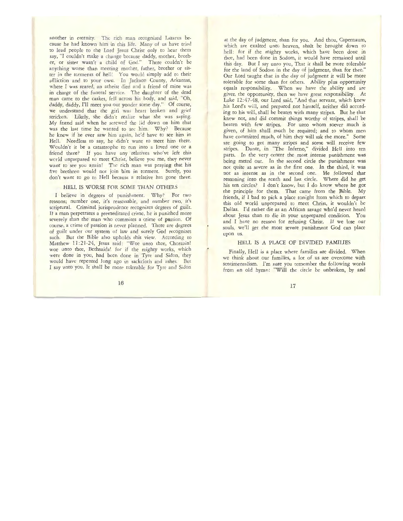another in eternity. The rich man recognized Lazarus because he had known him in this life. Many of us have tried to lead people to the Lord Jesus Christ only to hear them say, "I couldn't make a change because daddy, mother, brother, or sister wasn't a child of God." There couldn't be anything worse than meeting mother, father, brother or sister in the torments of hell! You would simply add to rheir affliction and to your own. In Jackson County, Arkansas, where I was reared, an atheist died and a friend of mine was in charge of the funeral service. The daughter of the dead man came to the casket, fell across his body, and said, "Oh, daddy, daddy, I'll meet you out yonder some day." Of course, we understand that the girl was heart broken and grief stricken. Likely, she didn't realize what she was saying. *My* friend said when he screwed the lid down on him that was the last time he wanted to see him. Why? Because he knew if he ever saw him again, he'd have to see him in Hell. Needless to say, he didn't want to meet him there. Wouldn't it be a catastrophe to run into a loved one or a friend there? If you have any relatives who've left this world unprepared to meet Christ, believe you me, they never want to see you again! The rich man was praying that his five brethren would not join him in torment. Surely, you don't want to go to Hell because a relative has gone there.

## HELL IS WORSE FOR SOME THAN OTHERS

I believe in degrees of punishment. Why? For two reasons; number one, it's reasonable, and number two, it's scriptural. Criminal jurisprudence recognizes degrees of guilt. If a man perpetrates a premeditated crime, he is punished more severely than the man who commites a crime of passion. Of course, a crime of passion is never planned. There are degrees of guilt under our system of law and surely God recognizes such. But the Bible also upholds this view. According to Matthew 11:21-24, Jesus said: "Woe unto thee, Chorazin! woe unto thee, Bethsaida! for if the mighty works, which were done in you, had been done in Tyre and Sidon, they would have repented long ago in sackcloth and ashes. But I say unto you, It shall be more tolerable for Tyre and Sidon

at the day of judgment, than for you. And thou, Capernaum, which are exalted unto heaven, shalt be brought down to hell: for if the mighty works, which have been done in thee, had been done in Sodom, it would have remained until this day. But I say unto you, Thar it shall be more tolerable for the land of Sodom in the day of judgment, than for thee." Our Lord taught that in the day of judgment it will be more tolerable for some than for others. Abiliry plus opportuniry equals responsibiliry. When we have the abiliry and are given the opportuniry, then we have great responsibility. At Luke 12:47-48, our Lord said, "And that servant, which knew his Lord's will, and prepared nor himself, neither did according to his will, shall be beaten with many stripes. But he that knew nor, and did commit things worthy of stripes, shall be beaten with few stripes. For unto whom soever much is given, of him shall much be required; and co whom men have committed much, of him they will ask the more." Some are going to get many stripes and some will receive few stripes. Dante, in "The Inferno," divided Hell into ten parts. In the very center the most intense punishment was being meted out. In the second circle the punishment was not quite as severe as in the first one. In the third, it was not as intense as in the second one. He followed that reasoning into the tenth and last circle. Where did he get his ten circles? I don't know, but I do know where he got the principle for them. That came from the Bible. My friends, if I had co pick a place tonight from which co depart this old world unprepared to meet Christ, it wouldn't be Dallas. I'd rather die as an African savage who'd never heard about Jesus than to die in your unprepared condition. You and I have no reason for refusing Christ. If we lose our souls, we'll get the most severe punishment God can place upon us.

#### HELL IS A PLACE OF DIVIDED FAMILIES

Finally, Hell is a place where families are divided. When we think about our families, a lot of us are overcome with sentimentalism. I'm sure you remember the following words from an old hymn: "Will the circle be unbroken, by and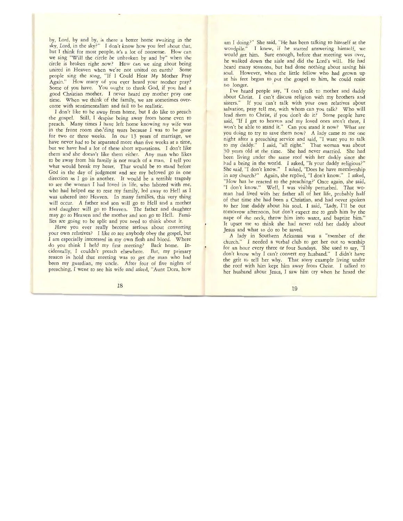by, Lord, by and by, is there a better home awaiting in the sky, Lord, in the sky?" I don't know how you feel about that, but I think for most people, it's a lot of nonsense. How can we sing "Will the circle be unbroken by and by" when the circle is broken right now? How can we sing about being united in Heaven when we're not united on earth? Some people sing the song, "If I Could Hear My Mother Pray Again." How many of you ever heard your mother pray? Some of you have. You ought to thank God, if you had a good Christian mother. I never heard my mother pray one time. When we think of the family, we are sometimes overcome with sentimentalism and fail to be realistic.

*I* don't like to be away from home, but I do like to preach the gospel. Still, I despise being away from home even to preach. Many times I have left home knowing my wife was in the front room she,'ding tears because *I* was to be gone for two or three weeks. In our 13 years of marriage, we have never had to be separated more than five weeks at a time, but we have had a lot of these short separations. I don't like them and she doesn't like them either. Any man who likes to be away from his family is not much of a man. I tell you what would break my heart. Thar would be to stand before God in the day of judgment and see my beloved go in one direction as I go in another. It would be a terrible tragedy to see the woman I had loved in life, who labored with me, who had helped me to rear my family, led away to Hell as I was ushered into Heaven. In many families, this very thing will occur. A father and son will go to Hell and a mother and daughter will go to Heaven. The father and daughter may go to Heaven and the mother and son go to Hell. Families are going to be split and you need to think about it.

Have you ever really become serious about converting your own relatives? *I like* to see anybody obey the gospel, but *<sup>I</sup>*am especially interested in my own flesh and blood. Where do you think I held my first meeting? Back home. Incidentally, I couldn't preach elsewhere. But, my primary reason in hold that meeting was to get the man who had been my guardian, my uncle. After four of five nights of preaching, I went to see his wife and asked, "Aunt Dora, how

am I doing?" She said, "He has been talking to himself at the woodpile." I knew, if he started answering himself, we would get him. Sure enough, before that meeting was over, he walked down the aisle and did the Lord's will. He had heard many sermons, but had done nothing about saving his soul. However, when the little fellow who had grown up at his feet began to put the gospel to him, he could resist no longer.

I've heard people say, "I can't talk to mother and daddy abour Christ. I can't discuss religion with my brothers and sisters." If you can't talk with your own relatives about salvation, pray tell me, with whom can you talk? Who will lead them to Christ, if you don't do it? Some people have said, "If I get to heaven and my loved ones aren't there, I won't be able to stand it." Can you stand it now? What are you doing to try to save them now? A lady came to me one night after a preaching service and said, "I want you to talk to my daddy." I said, "all right." That woman was about 30 years old at the time. She had never married. She had been living under the same roof with her daddy since she had a being in the world. I asked, "Is your daddy religious?" She said, "I don't know." I asked, "Does he have membership in any church?" Again, she replied, "I don't know." I asked, "How has he reacted to the preaching?' Once again, she said, "I don't know." Well, I was visibly perturbed. That woman had lived with her father all of her life, probably half of that time she had been a Christian, and had never spoken to her lost daddy about his soul. I said, "Lady, I'll be out tomorrow afternoon, but don't expect me to grab him by the nape of the neck, throw him into water, and baptize him." It upset me to think she had never told her daddy about Jesus and what to do to be saved.

A lady in Southern Arkansas was a "member of the church." I needed a verbal club to get her out to worship for an hour every three or four Sundays. She used to say, "I don't know why I can't convert my husband." I didn't have the grit to tell her why. That sorry example living under the roof with him kept him away from Christ. I talked to her husband about Jesus, I saw him cry when he heard the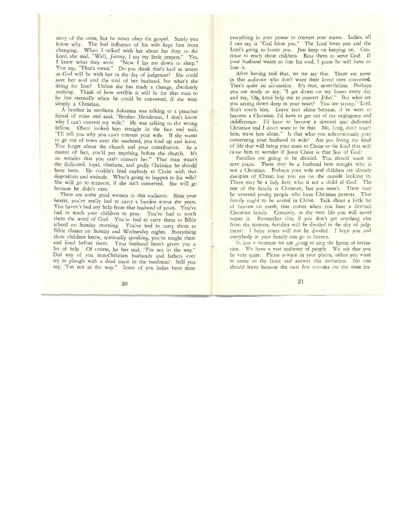story of the cross, but he never obey the gospel. Surely you know why. The bad influence of his wife kept him from changing. When *I* talked with her about her dury to the Lord, she said, "Well, Jimmy, I say my little prayers." Yes, *I* knew what they were. "Now *I lay me down to sleep.*" You say, "That's mean." Do you think that's half as severe as God will be with her in the day of judgment? She could save her soul and the soul of her husband, but what's she doing for him? Unless she has made a change, absolutely nothing. Think of how terrible it will be for that man to be lost eternally when he could be converted, if she were simply a Christian.

. *A* brother in northern Arkansas was talking to a preacher friend of mine and said, "Brother Henderson, I don't know why I can't convert my wife." He was talking to the wrong fellow. Obert looked him straight in the face and said, "I'll tell you why you can't convert your wife. If she wants to go out of town over the weekend, you load up and leave. You forget about the church and your contribution. As a matter of fact, you'll put anything before the church. It's no wonder that you can't convert her." That man wasn't the dedicated, loyal, obedient, and godly Christian he should have been. He couldn't lead anybody to Christ with that disposition and attitude. What's going to happen to his wife? She will go to torment, if she isn't converted. She will go because he didn't care.

There are some good women in this audience. Bless your hearts, you've really had to carry a burden across the years. You haven't had any help from that husband of yours. You've had to teach your children to pray. You've had to teach them the word of God. You've had to carry them to Bible school on Sunday morning. You've had to carry them to Bible classes on Sunday and Wednesday nights. Everything those children know, spiritually speaking, you've taught them and lived before them. Your husband hasn't given you a bit of help. Of course, he has said, "I'm not in the way." Did any of you non-Christian husbands and fathers ever try to plough with a dead mule in the hardness? Still you say, "I'm not in the way." Some of you ladies have done

everything in your power to convert your mates. Ladies, all I can say is "God bless you." The Lord loves you and the Lord's going to honor you. Just keep on keeping on. Continue to teach those children. Rear them to serve God. If your husband wants to lose his soul, I guess he will have to lose it.

After having said that, let me say this. There are some in this audience who don't want their loved ones converted. That's quite an accusation. It's true, nevertheless. Perhaps you are ready to say, "I get down on my knees every day and say, 'Oh, Lord help me to convert John'." But what are you saving down deep in your heart? You are saying," "Lord, don't touch him. Leave him alone because, if he were *<sup>w</sup>* become a Christian. I'd have to get out of my negligence and indifference. I'd have to become a devoted and dedicated Christian and I don't want to be that. No, lord, don't toucl: him, leave him alone." Is that what you subconsciously pray concerning your husband or wife? Are you living the kind of life that will bring your mace to Christ or rhe kind that will cause him to wonder if Jesus Christ is that Son of God'

Families are going to be divided. You should want to save yours. There may be a husband here tonight who is not a Christian. Perhaps your wife and children are already disciples of Christ, but you are on the outside looking in. There may be a lady here who is not a child of God. The rest of the family is Christian, but you aren't. There may be unsaved young people who have Christian parents. Thar family ought to be united in Christ. Talk about a little bit of heaven on earth, that comes when you have a devoted Christian family. Certainly, in the next life you will never regret it. Remember this, if you don't get anything else from the sermon, families will be divided in the day of judgment! I hope yours will not be divided. I hope you and everybody in your family can go to heaven.

In just a moment we are going to sing the hymn of invitation. We have a vast audience of people. We ask that you be very quiet. Please remain in your places, unless you want to come to the front and answer this invitation. No one should leave because the next few minutes are the most im-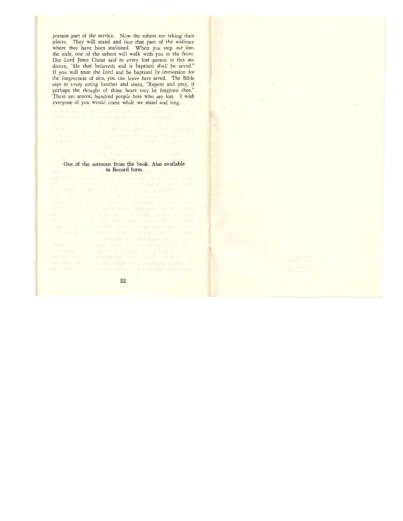portant part of the service. Now the ushers are taking their places. They will stand and face that part of the audience where they have been stationed. When you step out into the aisle, one of the ushers will walk wirh you to the front. Our Lord Jesus Christ said to every lost person in this audience, "He that believeth and is baptized shall be saved." If you will trust the Lord and be baptized by immersion for the forgiveness of sins, you can leave here saved. The Bible says to every erring brother and sister, "Repent and pray, if perhaps the thought of thine heart may be forgiven thee." There are several hundred people here who are lost. I wish everyone of you would come while we stand and sing.

One of the sermons from the book. Also available in Record form.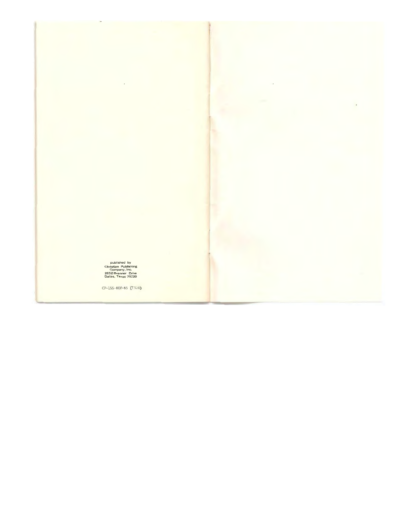published by Christian Publishing Company, Inc. 2652 Brenner Orive Dallas, Texas 75220

J.

CP-155-800-65 (T328)